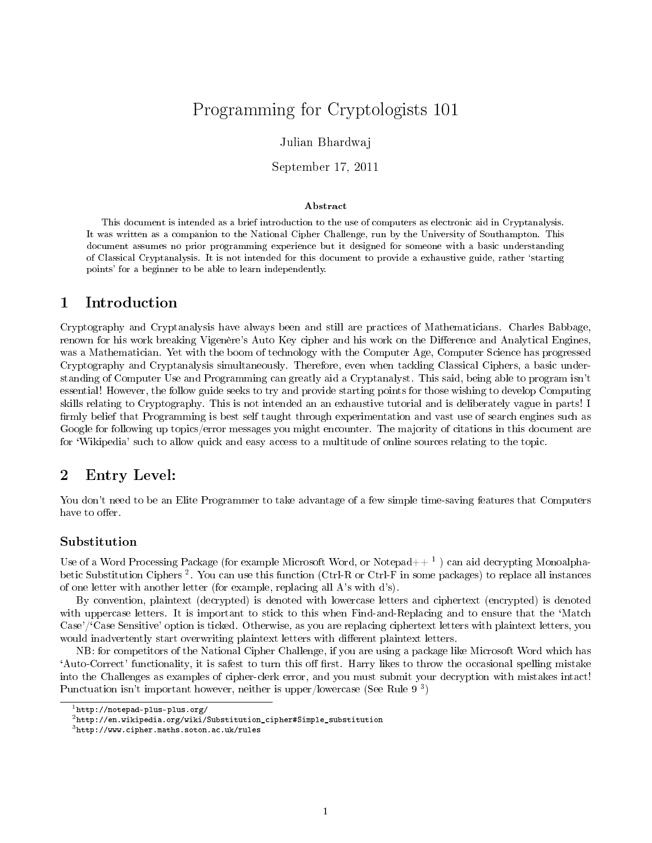# Programming for Cryptologists 101

### Julian Bhardwaj

September 17, 2011

#### Abstract

This document is intended as a brief introduction to the use of computers as electronic aid in Cryptanalysis. It was written as a companion to the National Cipher Challenge, run by the University of Southampton. This document assumes no prior programming experience but it designed for someone with a basic understanding of Classical Cryptanalysis. It is not intended for this document to provide a exhaustive guide, rather `starting points' for a beginner to be able to learn independently.

## 1 Introduction

Cryptography and Cryptanalysis have always been and still are practices of Mathematicians. Charles Babbage, renown for his work breaking Vigenère's Auto Key cipher and his work on the Difference and Analytical Engines, was a Mathematician. Yet with the boom of technology with the Computer Age, Computer Science has progressed Cryptography and Cryptanalysis simultaneously. Therefore, even when tackling Classical Ciphers, a basic understanding of Computer Use and Programming can greatly aid a Cryptanalyst. This said, being able to program isn't essential! However, the follow guide seeks to try and provide starting points for those wishing to develop Computing skills relating to Cryptography. This is not intended an an exhaustive tutorial and is deliberately vague in parts! I firmly belief that Programming is best self taught through experimentation and vast use of search engines such as Google for following up topics/error messages you might encounter. The majority of citations in this document are for `Wikipedia' such to allow quick and easy access to a multitude of online sources relating to the topic.

## 2 Entry Level:

You don't need to be an Elite Programmer to take advantage of a few simple time-saving features that Computers have to offer.

#### Substitution

Use of a Word Processing Package (for example Microsoft Word, or Notepad $++\ ^1$  ) can aid decrypting Monoalphabetic Substitution Ciphers<sup>2</sup>. You can use this function (Ctrl-R or Ctrl-F in some packages) to replace all instances of one letter with another letter (for example, replacing all A's with d's).

By convention, plaintext (decrypted) is denoted with lowercase letters and ciphertext (encrypted) is denoted with uppercase letters. It is important to stick to this when Find-and-Replacing and to ensure that the 'Match Case'/'Case Sensitive' option is ticked. Otherwise, as you are replacing ciphertext letters with plaintext letters, you would inadvertently start overwriting plaintext letters with different plaintext letters.

NB: for competitors of the National Cipher Challenge, if you are using a package like Microsoft Word which has 'Auto-Correct' functionality, it is safest to turn this off first. Harry likes to throw the occasional spelling mistake into the Challenges as examples of cipher-clerk error, and you must submit your decryption with mistakes intact! Punctuation isn't important however, neither is upper/lowercase (See Rule 9<sup>3</sup>)

<sup>1</sup>http://notepad-plus-plus.org/

 $2$ http://en.wikipedia.org/wiki/Substitution\_cipher#Simple\_substitution

<sup>3</sup>http://www.cipher.maths.soton.ac.uk/rules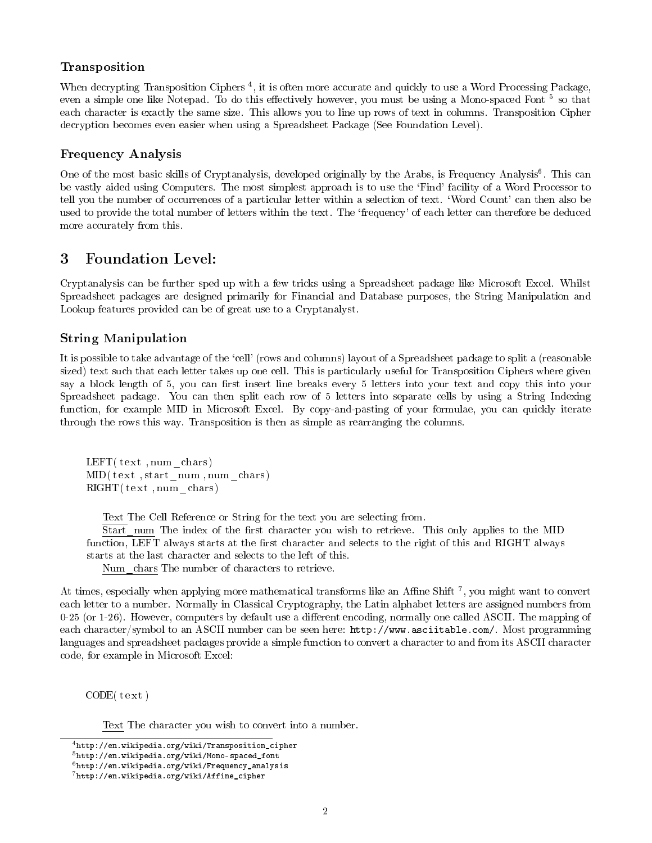## Transposition

When decrypting Transposition Ciphers<sup>4</sup>, it is often more accurate and quickly to use a Word Processing Package, even a simple one like Notepad. To do this effectively however, you must be using a Mono-spaced Font <sup>5</sup> so that each character is exactly the same size. This allows you to line up rows of text in columns. Transposition Cipher decryption becomes even easier when using a Spreadsheet Package (See Foundation Level).

## Frequency Analysis

One of the most basic skills of Cryptanalysis, developed originally by the Arabs, is Frequency Analysis<sup>6</sup>. This can be vastly aided using Computers. The most simplest approach is to use the 'Find' facility of a Word Processor to tell you the number of occurrences of a particular letter within a selection of text. `Word Count' can then also be used to provide the total number of letters within the text. The `frequency' of each letter can therefore be deduced more accurately from this.

## 3 Foundation Level:

Cryptanalysis can be further sped up with a few tricks using a Spreadsheet package like Microsoft Excel. Whilst Spreadsheet packages are designed primarily for Financial and Database purposes, the String Manipulation and Lookup features provided can be of great use to a Cryptanalyst.

## String Manipulation

It is possible to take advantage of the `cell' (rows and columns) layout of a Spreadsheet package to split a (reasonable sized) text such that each letter takes up one cell. This is particularly useful for Transposition Ciphers where given say a block length of 5, you can first insert line breaks every 5 letters into your text and copy this into your Spreadsheet package. You can then split each row of 5 letters into separate cells by using a String Indexing function, for example MID in Microsoft Excel. By copy-and-pasting of your formulae, you can quickly iterate through the rows this way. Transposition is then as simple as rearranging the columns.

 $LEFT(text, num-chars)$  $MID(text, start num, num-chars )$  $RIGHT(text, num-chars)$ 

Text The Cell Reference or String for the text you are selecting from.

Start num The index of the first character you wish to retrieve. This only applies to the MID function, LEFT always starts at the first character and selects to the right of this and RIGHT always starts at the last character and selects to the left of this.

Num\_chars The number of characters to retrieve.

At times, especially when applying more mathematical transforms like an Affine Shift  $^7$ , you might want to convert each letter to a number. Normally in Classical Cryptography, the Latin alphabet letters are assigned numbers from 0-25 (or 1-26). However, computers by default use a different encoding, normally one called ASCII. The mapping of each character/symbol to an ASCII number can be seen here: http://www.asciitable.com/. Most programming languages and spreadsheet packages provide a simple function to convert a character to and from its ASCII character code, for example in Microsoft Excel:

 $CODE(t ext)$ 

Text The character you wish to convert into a number.

<sup>4</sup>http://en.wikipedia.org/wiki/Transposition\_cipher

<sup>5</sup>http://en.wikipedia.org/wiki/Mono-spaced\_font

 $6$ http://en.wikipedia.org/wiki/Frequency\_analysis

<sup>7</sup>http://en.wikipedia.org/wiki/Affine\_cipher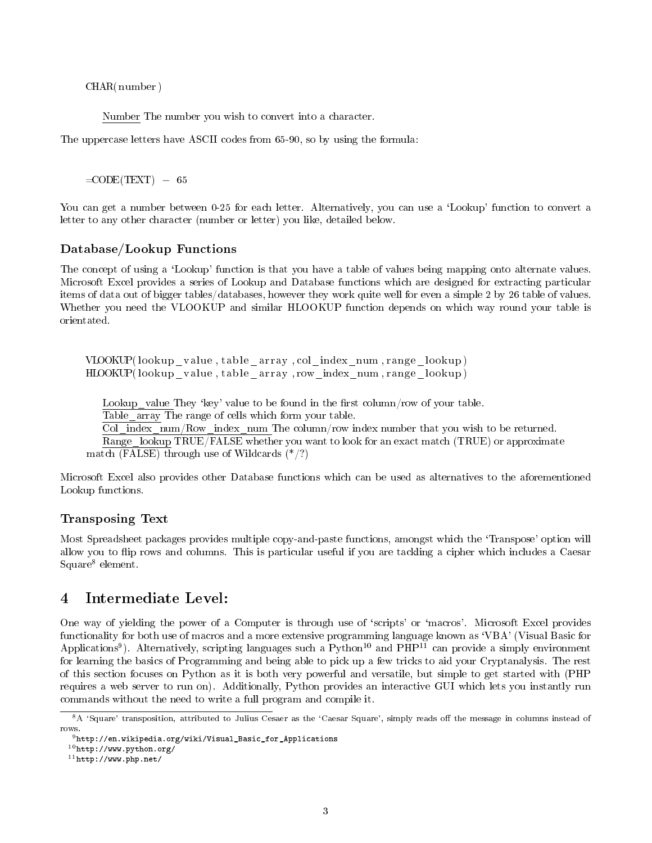CHAR( number )

Number The number you wish to convert into a character.

The uppercase letters have ASCII codes from 65-90, so by using the formula:

 $=$ CODE(TEXT)  $-65$ 

You can get a number between 0-25 for each letter. Alternatively, you can use a 'Lookup' function to convert a letter to any other character (number or letter) you like, detailed below.

#### Database/Lookup Functions

The concept of using a 'Lookup' function is that you have a table of values being mapping onto alternate values. Microsoft Excel provides a series of Lookup and Database functions which are designed for extracting particular items of data out of bigger tables/databases, however they work quite well for even a simple 2 by 26 table of values. Whether you need the VLOOKUP and similar HLOOKUP function depends on which way round your table is orientated.

VLOOKUP(lookup\_value, table\_array, col\_index\_num, range\_lookup) HLOOKUP(lookup\_value, table\_array, row\_index\_num, range\_lookup)

Lookup value They 'key' value to be found in the first column/row of your table.

Table array The range of cells which form your table.

Col index num/Row index num The column/row index number that you wish to be returned.

Range lookup TRUE/FALSE whether you want to look for an exact match (TRUE) or approximate

match (FALSE) through use of Wildcards  $(*/?)$ 

Microsoft Excel also provides other Database functions which can be used as alternatives to the aforementioned Lookup functions.

#### Transposing Text

Most Spreadsheet packages provides multiple copy-and-paste functions, amongst which the `Transpose' option will allow you to flip rows and columns. This is particular useful if you are tackling a cipher which includes a Caesar Square<sup>8</sup> element.

## 4 Intermediate Level:

One way of yielding the power of a Computer is through use of `scripts' or `macros'. Microsoft Excel provides functionality for both use of macros and a more extensive programming language known as 'VBA' (Visual Basic for Applications<sup>9</sup>). Alternatively, scripting languages such a Python<sup>10</sup> and PHP<sup>11</sup> can provide a simply environment for learning the basics of Programming and being able to pick up a few tricks to aid your Cryptanalysis. The rest of this section focuses on Python as it is both very powerful and versatile, but simple to get started with (PHP requires a web server to run on). Additionally, Python provides an interactive GUI which lets you instantly run commands without the need to write a full program and compile it.

<sup>&</sup>lt;sup>8</sup>A 'Square' transposition, attributed to Julius Cesaer as the 'Caesar Square', simply reads off the message in columns instead of rows.

 $9$ http://en.wikipedia.org/wiki/Visual\_Basic\_for\_Applications

 $^{10}\mathrm{http://www.python.org/}$ 

 $11$ http://www.php.net/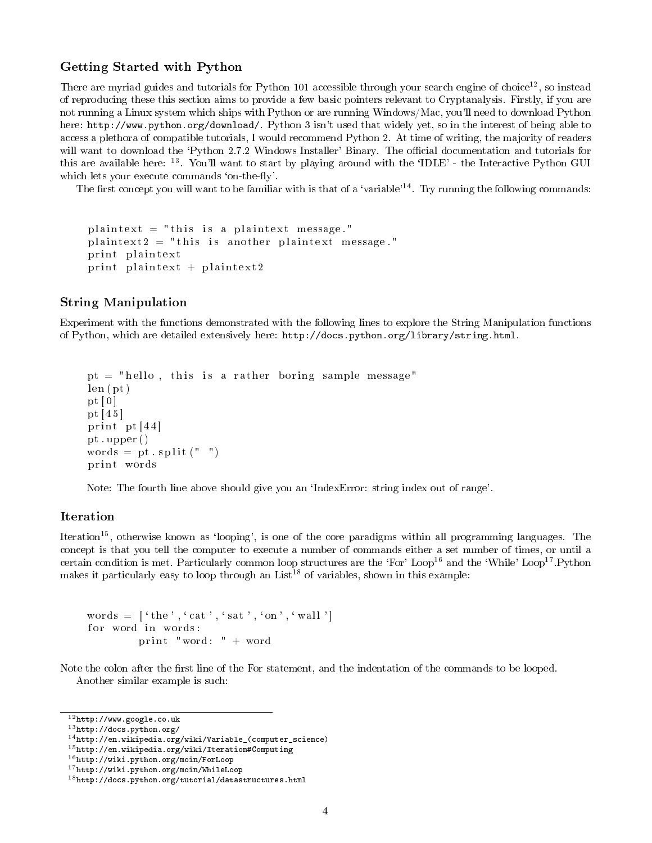#### Getting Started with Python

There are myriad guides and tutorials for Python 101 accessible through your search engine of choice<sup>12</sup>, so instead of reproducing these this section aims to provide a few basic pointers relevant to Cryptanalysis. Firstly, if you are not running a Linux system which ships with Python or are running Windows/Mac, you'll need to download Python here: http://www.python.org/download/. Python 3 isn't used that widely yet, so in the interest of being able to access a plethora of compatible tutorials, I would recommend Python 2. At time of writing, the majority of readers will want to download the 'Python 2.7.2 Windows Installer' Binary. The official documentation and tutorials for this are available here: <sup>13</sup>. You'll want to start by playing around with the 'IDLE' - the Interactive Python GUI which lets your execute commands 'on-the-fly'.

The first concept you will want to be familiar with is that of a 'variable'<sup>14</sup>. Try running the following commands:

```
plaintext = "this is a plaintext message."
plaintext2 = "this is another plaintext message."
print plaintext
print plaintext + plaintext2
```
#### String Manipulation

Experiment with the functions demonstrated with the following lines to explore the String Manipulation functions of Python, which are detailed extensively here: http://docs.python.org/library/string.html.

```
pt = "hello, this is a rather boring sample message"
len (pt)pt [0]
pt [ 4 5 ]
print pt [44]
pt . upper ( )
words = pt \cdot split(" "")print words
```
Note: The fourth line above should give you an `IndexError: string index out of range'.

### Iteration

Iteration<sup>15</sup>, otherwise known as 'looping', is one of the core paradigms within all programming languages. The concept is that you tell the computer to execute a number of commands either a set number of times, or until a certain condition is met. Particularly common loop structures are the 'For' Loop<sup>16</sup> and the 'While' Loop<sup>17</sup>.Python makes it particularly easy to loop through an  $List^{18}$  of variables, shown in this example:

```
words = \lceil 'the', 'cat', 'sat', 'on', 'wall '
for word in words:
         print "word: " + word
```
Note the colon after the first line of the For statement, and the indentation of the commands to be looped. Another similar example is such:

<sup>12</sup>http://www.google.co.uk

 $^{13}{\tt http://docs.python.org/}$ 

 $14$ http://en.wikipedia.org/wiki/Variable\_(computer\_science)

<sup>15</sup>http://en.wikipedia.org/wiki/Iteration#Computing

<sup>16</sup>http://wiki.python.org/moin/ForLoop

<sup>17</sup>http://wiki.python.org/moin/WhileLoop

<sup>18</sup>http://docs.python.org/tutorial/datastructures.html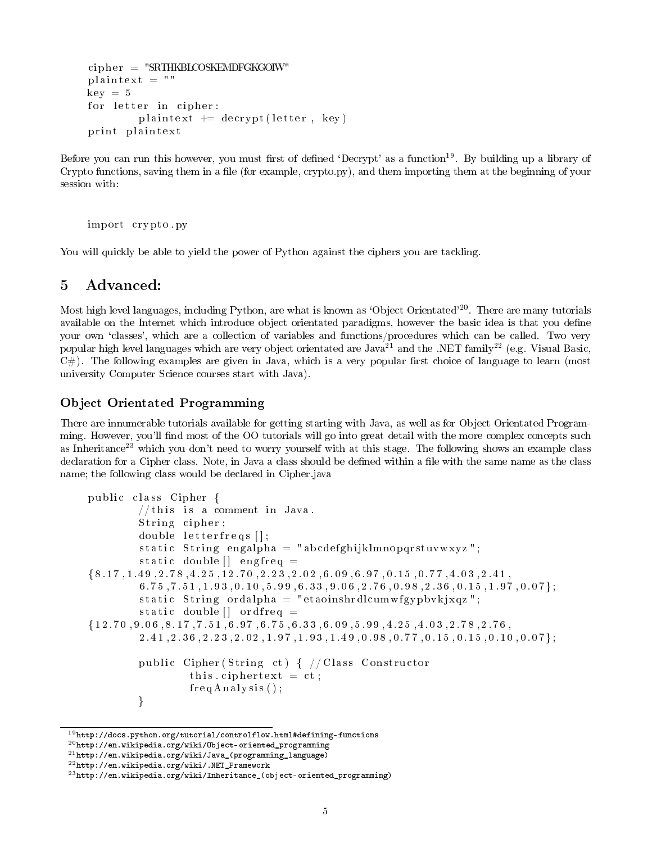```
cip h er = "SRTHKBLCOSKEMDFGKGOIW"
plaintext = "key = 5for letter in cipher:
        plaintext += decrypt (letter, key)
print plaintext
```
Before you can run this however, you must first of defined 'Decrypt' as a function<sup>19</sup>. By building up a library of Crypto functions, saving them in a file (for example, crypto.py), and them importing them at the beginning of your session with:

import crypto.py

You will quickly be able to yield the power of Python against the ciphers you are tackling.

## 5 Advanced:

Most high level languages, including Python, are what is known as 'Object Orientated'<sup>20</sup>. There are many tutorials available on the Internet which introduce object orientated paradigms, however the basic idea is that you define your own `classes', which are a collection of variables and functions/procedures which can be called. Two very popular high level languages which are very object orientated are Java<sup>21</sup> and the .NET family<sup>22</sup> (e.g. Visual Basic,  $C#$ ). The following examples are given in Java, which is a very popular first choice of language to learn (most university Computer Science courses start with Java).

## Object Orientated Programming

There are innumerable tutorials available for getting starting with Java, as well as for Object Orientated Programming. However, you'll find most of the OO tutorials will go into great detail with the more complex concepts such as Inheritance<sup>23</sup> which you don't need to worry yourself with at this stage. The following shows an example class declaration for a Cipher class. Note, in Java a class should be defined within a file with the same name as the class name; the following class would be declared in Cipher.java

```
public class Cipher {
          // this is a comment in Java.String cipher;
          double letterfreqs[];
          static String engalpha = "abcdefghijklmnopqrstuvwxyz";
          static double \begin{bmatrix} \end{bmatrix} engfreq =
\{8.17, 1.49, 2.78, 4.25, 12.70, 2.23, 2.02, 6.09, 6.97, 0.15, 0.77, 4.03, 2.41,6.75, 7.51, 1.93, 0.10, 5.99, 6.33, 9.06, 2.76, 0.98, 2.36, 0.15, 1.97, 0.07};
          static String ordalpha = "etaoinshrdlcumwfgypbvkjxqz";
          static double \begin{bmatrix} \end{bmatrix} ordfreq =
\{12.70, 9.06, 8.17, 7.51, 6.97, 6.75, 6.33, 6.09, 5.99, 4.25, 4.03, 2.78, 2.76,2 . 4 1 , 2 . 3 6 , 2 . 2 3 , 2 . 0 2 , 1 . 9 7 , 1 . 9 3 , 1 . 4 9 , 0 . 9 8 , 0 . 7 7 , 0 . 1 5 , 0 . 1 5 , 0 . 1 0 , 0 . 0 7 } ;
          public Cipher (String ct) { // Class Constructor
                    this ciphertext = ct;
                    freqA nalysis ();
          }
```
 $^{19}$ http://docs.python.org/tutorial/controlflow.html#defining-functions

 $^{20}$ http://en.wikipedia.org/wiki/Object-oriented\_programming

 $^{21}$ http://en.wikipedia.org/wiki/Java\_(programming\_language)

 $^{22}$ http://en.wikipedia.org/wiki/.NET\_Framework

 $^{23}$ http://en.wikipedia.org/wiki/Inheritance\_(object-oriented\_programming)